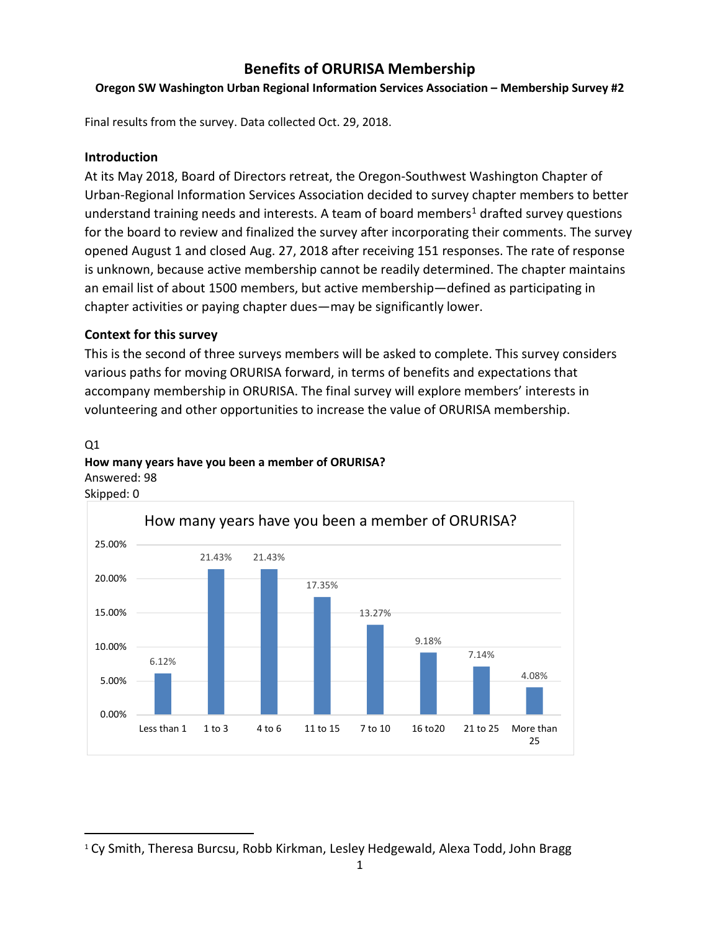# **Benefits of ORURISA Membership**

### **Oregon SW Washington Urban Regional Information Services Association – Membership Survey #2**

Final results from the survey. Data collected Oct. 29, 2018.

### **Introduction**

At its May 2018, Board of Directors retreat, the Oregon-Southwest Washington Chapter of Urban-Regional Information Services Association decided to survey chapter members to better understand training needs and interests. A team of board members<sup>1</sup> drafted survey questions for the board to review and finalized the survey after incorporating their comments. The survey opened August 1 and closed Aug. 27, 2018 after receiving 151 responses. The rate of response is unknown, because active membership cannot be readily determined. The chapter maintains an email list of about 1500 members, but active membership—defined as participating in chapter activities or paying chapter dues—may be significantly lower.

### **Context for this survey**

This is the second of three surveys members will be asked to complete. This survey considers various paths for moving ORURISA forward, in terms of benefits and expectations that accompany membership in ORURISA. The final survey will explore members' interests in volunteering and other opportunities to increase the value of ORURISA membership.

# Q1 **How many years have you been a member of ORURISA?** Answered: 98



<span id="page-0-0"></span>1 Cy Smith, Theresa Burcsu, Robb Kirkman, Lesley Hedgewald, Alexa Todd, John Bragg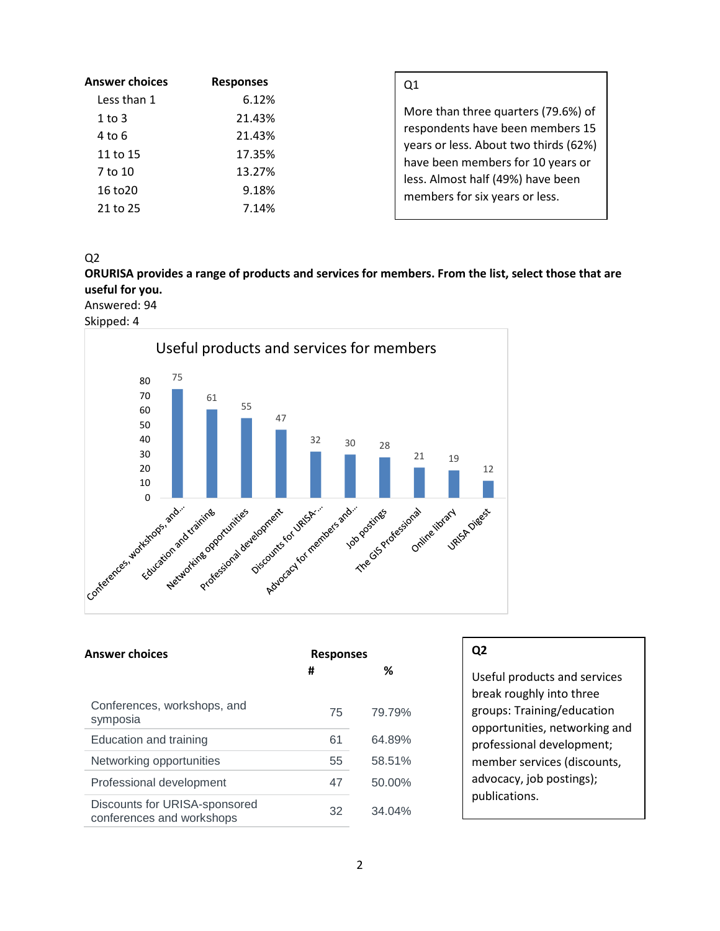| <b>Answer choices</b> | <b>Responses</b> | Q1                                                                         |
|-----------------------|------------------|----------------------------------------------------------------------------|
| Less than 1           | 6.12%            |                                                                            |
| $1$ to $3$            | 21.43%           | More than three quarters (79.6%) of                                        |
| 4 to 6                | 21.43%           | respondents have been members 15                                           |
| 11 to 15              | 17.35%           | years or less. About two thirds (62%)<br>have been members for 10 years or |
| 7 to 10               | 13.27%           | less. Almost half (49%) have been                                          |
| 16 to 20              | 9.18%            | members for six years or less.                                             |
| 21 to 25              | 7.14%            |                                                                            |

 $Q<sub>2</sub>$ 

**ORURISA provides a range of products and services for members. From the list, select those that are useful for you.**

Answered: 94

Skipped: 4



| <b>Answer choices</b>                                      | <b>Responses</b> |           |
|------------------------------------------------------------|------------------|-----------|
|                                                            | #                | ℅         |
| Conferences, workshops, and<br>symposia                    | 75               | 79.79%    |
| Education and training                                     | 61               | 64.89%    |
| Networking opportunities                                   | 55               | 58.51%    |
| Professional development                                   | 47               | 50.00%    |
| Discounts for URISA-sponsored<br>conferences and workshops | 32               | $34.04\%$ |

## **Q2**

Useful products and services break roughly into three groups: Training/education opportunities, networking and professional development; member services (discounts, advocacy, job postings); publications.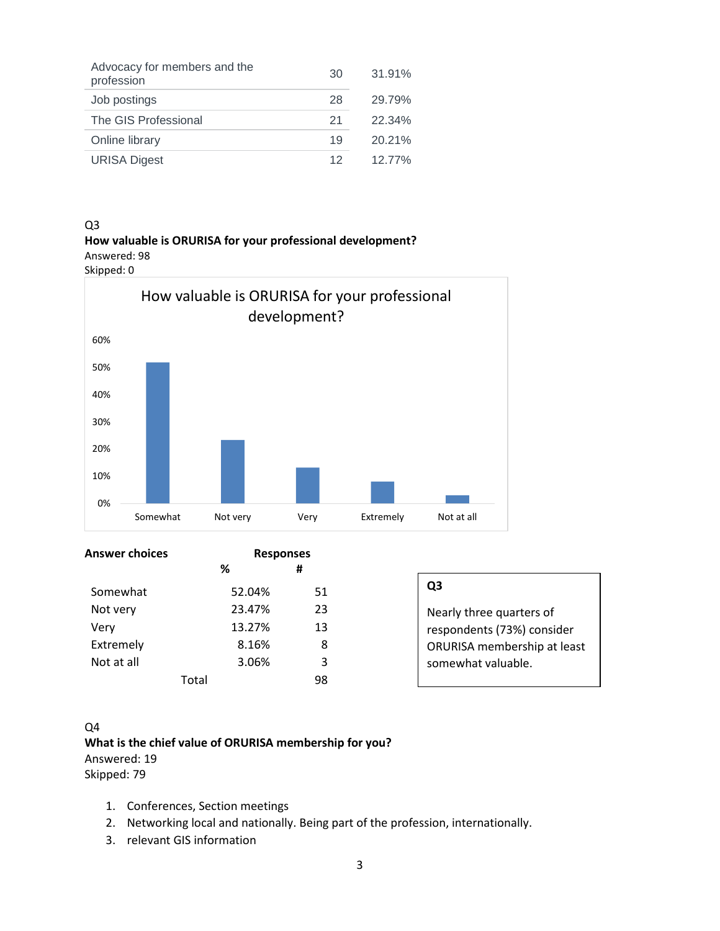| Advocacy for members and the<br>profession | 30 | 31.91% |
|--------------------------------------------|----|--------|
| Job postings                               | 28 | 29.79% |
| The GIS Professional                       | 21 | 22.34% |
| Online library                             | 19 | 20.21% |
| <b>URISA Digest</b>                        | 12 | 1277%  |

#### Q3

**How valuable is ORURISA for your professional development?** Answered: 98



Answer choices Responses  **% #** Somewhat 52.04% 51 Not very 23.47% 23 Very 13.27% 13 Extremely 8.16% 8 Not at all 3.06% 3 Total 98

| Q3                                 |
|------------------------------------|
| Nearly three quarters of           |
| respondents (73%) consider         |
| <b>ORURISA membership at least</b> |
| somewhat valuable.                 |
|                                    |

#### Q4

**What is the chief value of ORURISA membership for you?** Answered: 19 Skipped: 79

- 1. Conferences, Section meetings
- 2. Networking local and nationally. Being part of the profession, internationally.
- 3. relevant GIS information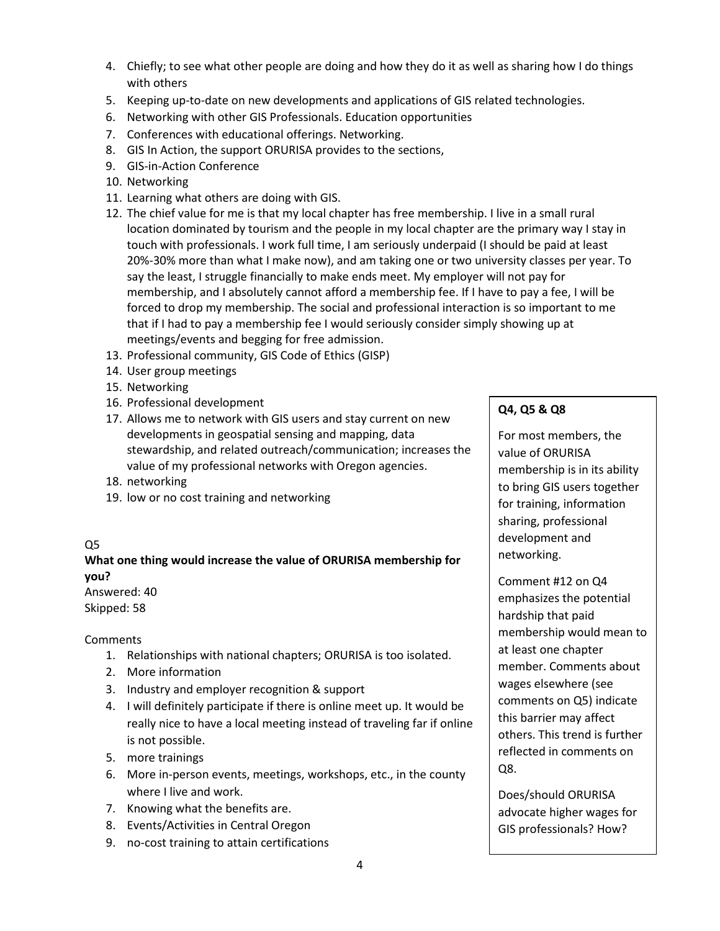- 4. Chiefly; to see what other people are doing and how they do it as well as sharing how I do things with others
- 5. Keeping up-to-date on new developments and applications of GIS related technologies.
- 6. Networking with other GIS Professionals. Education opportunities
- 7. Conferences with educational offerings. Networking.
- 8. GIS In Action, the support ORURISA provides to the sections,
- 9. GIS-in-Action Conference
- 10. Networking
- 11. Learning what others are doing with GIS.
- 12. The chief value for me is that my local chapter has free membership. I live in a small rural location dominated by tourism and the people in my local chapter are the primary way I stay in touch with professionals. I work full time, I am seriously underpaid (I should be paid at least 20%-30% more than what I make now), and am taking one or two university classes per year. To say the least, I struggle financially to make ends meet. My employer will not pay for membership, and I absolutely cannot afford a membership fee. If I have to pay a fee, I will be forced to drop my membership. The social and professional interaction is so important to me that if I had to pay a membership fee I would seriously consider simply showing up at meetings/events and begging for free admission.
- 13. Professional community, GIS Code of Ethics (GISP)
- 14. User group meetings
- 15. Networking
- 16. Professional development
- 17. Allows me to network with GIS users and stay current on new developments in geospatial sensing and mapping, data stewardship, and related outreach/communication; increases the value of my professional networks with Oregon agencies.
- 18. networking
- 19. low or no cost training and networking

### Q5

**What one thing would increase the value of ORURISA membership for you?** Answered: 40

Skipped: 58

**Comments** 

- 1. Relationships with national chapters; ORURISA is too isolated.
- 2. More information
- 3. Industry and employer recognition & support
- 4. I will definitely participate if there is online meet up. It would be really nice to have a local meeting instead of traveling far if online is not possible.
- 5. more trainings
- 6. More in-person events, meetings, workshops, etc., in the county where I live and work.
- 7. Knowing what the benefits are.
- 8. Events/Activities in Central Oregon
- 9. no-cost training to attain certifications

### **Q4, Q5 & Q8**

For most members, the value of ORURISA membership is in its ability to bring GIS users together for training, information sharing, professional development and networking.

Comment #12 on Q4 emphasizes the potential hardship that paid membership would mean to at least one chapter member. Comments about wages elsewhere (see comments on Q5) indicate this barrier may affect others. This trend is further reflected in comments on Q8.

Does/should ORURISA advocate higher wages for GIS professionals? How?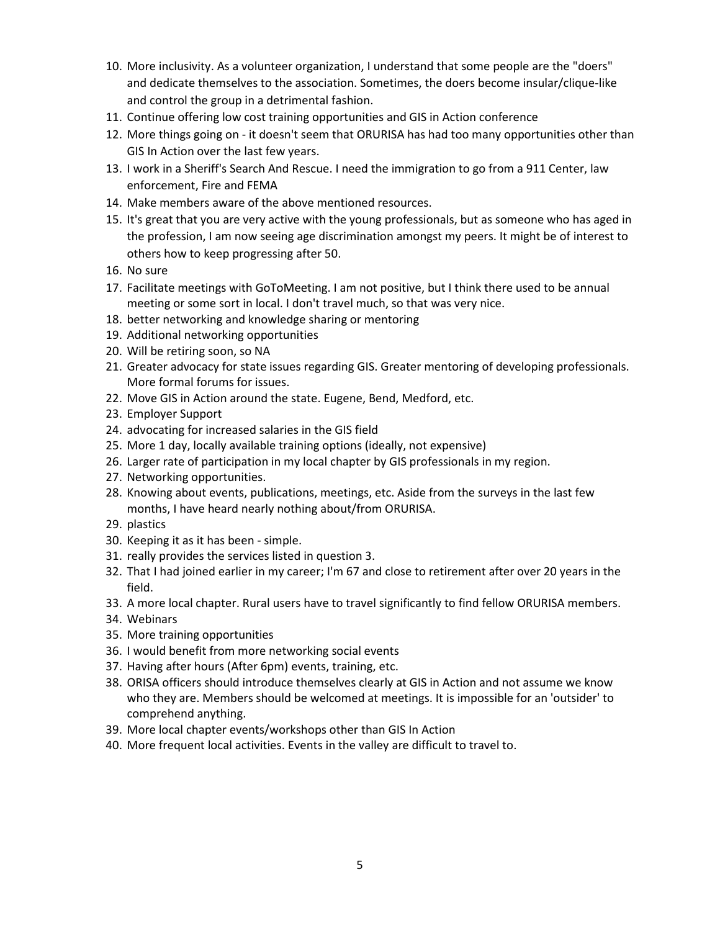- 10. More inclusivity. As a volunteer organization, I understand that some people are the "doers" and dedicate themselves to the association. Sometimes, the doers become insular/clique-like and control the group in a detrimental fashion.
- 11. Continue offering low cost training opportunities and GIS in Action conference
- 12. More things going on it doesn't seem that ORURISA has had too many opportunities other than GIS In Action over the last few years.
- 13. I work in a Sheriff's Search And Rescue. I need the immigration to go from a 911 Center, law enforcement, Fire and FEMA
- 14. Make members aware of the above mentioned resources.
- 15. It's great that you are very active with the young professionals, but as someone who has aged in the profession, I am now seeing age discrimination amongst my peers. It might be of interest to others how to keep progressing after 50.
- 16. No sure
- 17. Facilitate meetings with GoToMeeting. I am not positive, but I think there used to be annual meeting or some sort in local. I don't travel much, so that was very nice.
- 18. better networking and knowledge sharing or mentoring
- 19. Additional networking opportunities
- 20. Will be retiring soon, so NA
- 21. Greater advocacy for state issues regarding GIS. Greater mentoring of developing professionals. More formal forums for issues.
- 22. Move GIS in Action around the state. Eugene, Bend, Medford, etc.
- 23. Employer Support
- 24. advocating for increased salaries in the GIS field
- 25. More 1 day, locally available training options (ideally, not expensive)
- 26. Larger rate of participation in my local chapter by GIS professionals in my region.
- 27. Networking opportunities.
- 28. Knowing about events, publications, meetings, etc. Aside from the surveys in the last few months, I have heard nearly nothing about/from ORURISA.
- 29. plastics
- 30. Keeping it as it has been simple.
- 31. really provides the services listed in question 3.
- 32. That I had joined earlier in my career; I'm 67 and close to retirement after over 20 years in the field.
- 33. A more local chapter. Rural users have to travel significantly to find fellow ORURISA members.
- 34. Webinars
- 35. More training opportunities
- 36. I would benefit from more networking social events
- 37. Having after hours (After 6pm) events, training, etc.
- 38. ORISA officers should introduce themselves clearly at GIS in Action and not assume we know who they are. Members should be welcomed at meetings. It is impossible for an 'outsider' to comprehend anything.
- 39. More local chapter events/workshops other than GIS In Action
- 40. More frequent local activities. Events in the valley are difficult to travel to.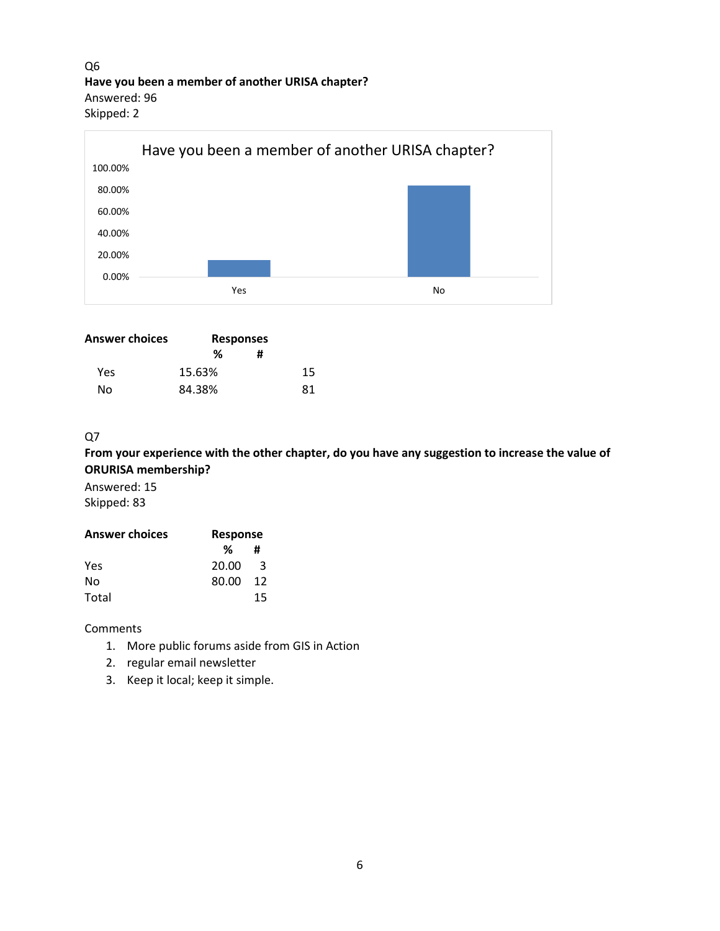Q6 **Have you been a member of another URISA chapter?** Answered: 96 Skipped: 2



| Answer choices | <b>Responses</b> |    |
|----------------|------------------|----|
|                | ℅                | #  |
| Yes            | 15.63%           | 15 |
| N٥             | 84.38%           | 81 |
|                |                  |    |

### $Q7$

**From your experience with the other chapter, do you have any suggestion to increase the value of ORURISA membership?**

Answered: 15 Skipped: 83

| <b>Answer choices</b> | <b>Response</b> |     |
|-----------------------|-----------------|-----|
|                       | %               | #   |
| Yes                   | 20.00           | 3   |
| No                    | 80.00           | -12 |
| Total                 |                 | 15  |

#### **Comments**

- 1. More public forums aside from GIS in Action
- 2. regular email newsletter
- 3. Keep it local; keep it simple.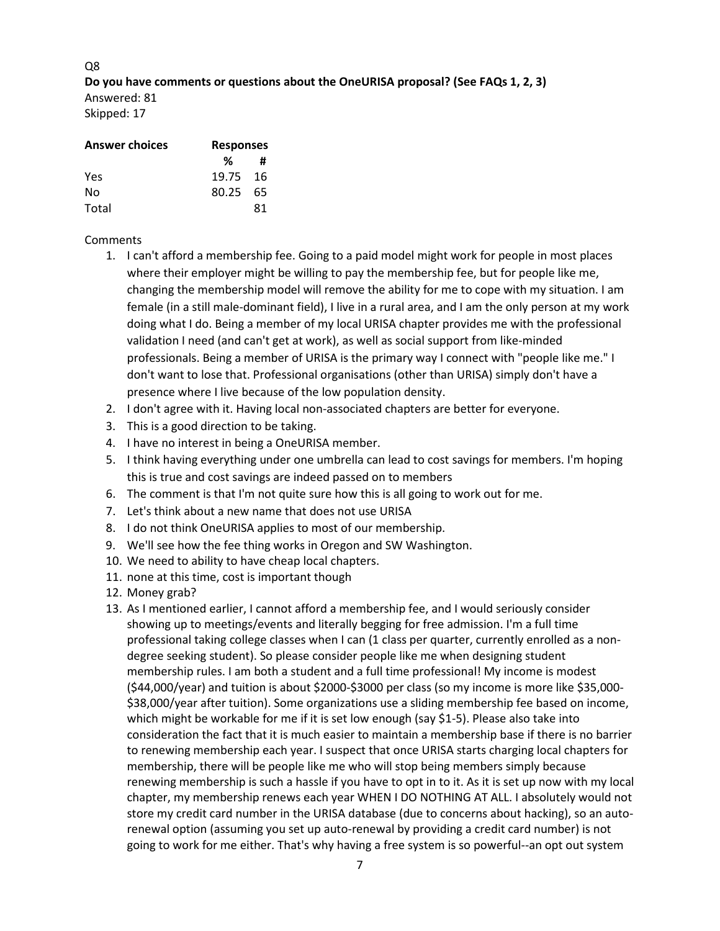Q8 **Do you have comments or questions about the OneURISA proposal? (See FAQs 1, 2, 3)** Answered: 81 Skipped: 17

| <b>Answer choices</b> | <b>Responses</b> |    |
|-----------------------|------------------|----|
|                       | %                | #  |
| Yes                   | 19.75 16         |    |
| No                    | 80.25 65         |    |
| Total                 |                  | 81 |

#### **Comments**

- 1. I can't afford a membership fee. Going to a paid model might work for people in most places where their employer might be willing to pay the membership fee, but for people like me, changing the membership model will remove the ability for me to cope with my situation. I am female (in a still male-dominant field), I live in a rural area, and I am the only person at my work doing what I do. Being a member of my local URISA chapter provides me with the professional validation I need (and can't get at work), as well as social support from like-minded professionals. Being a member of URISA is the primary way I connect with "people like me." I don't want to lose that. Professional organisations (other than URISA) simply don't have a presence where I live because of the low population density.
- 2. I don't agree with it. Having local non-associated chapters are better for everyone.
- 3. This is a good direction to be taking.
- 4. I have no interest in being a OneURISA member.
- 5. I think having everything under one umbrella can lead to cost savings for members. I'm hoping this is true and cost savings are indeed passed on to members
- 6. The comment is that I'm not quite sure how this is all going to work out for me.
- 7. Let's think about a new name that does not use URISA
- 8. I do not think OneURISA applies to most of our membership.
- 9. We'll see how the fee thing works in Oregon and SW Washington.
- 10. We need to ability to have cheap local chapters.
- 11. none at this time, cost is important though
- 12. Money grab?
- 13. As I mentioned earlier, I cannot afford a membership fee, and I would seriously consider showing up to meetings/events and literally begging for free admission. I'm a full time professional taking college classes when I can (1 class per quarter, currently enrolled as a nondegree seeking student). So please consider people like me when designing student membership rules. I am both a student and a full time professional! My income is modest (\$44,000/year) and tuition is about \$2000-\$3000 per class (so my income is more like \$35,000- \$38,000/year after tuition). Some organizations use a sliding membership fee based on income, which might be workable for me if it is set low enough (say \$1-5). Please also take into consideration the fact that it is much easier to maintain a membership base if there is no barrier to renewing membership each year. I suspect that once URISA starts charging local chapters for membership, there will be people like me who will stop being members simply because renewing membership is such a hassle if you have to opt in to it. As it is set up now with my local chapter, my membership renews each year WHEN I DO NOTHING AT ALL. I absolutely would not store my credit card number in the URISA database (due to concerns about hacking), so an autorenewal option (assuming you set up auto-renewal by providing a credit card number) is not going to work for me either. That's why having a free system is so powerful--an opt out system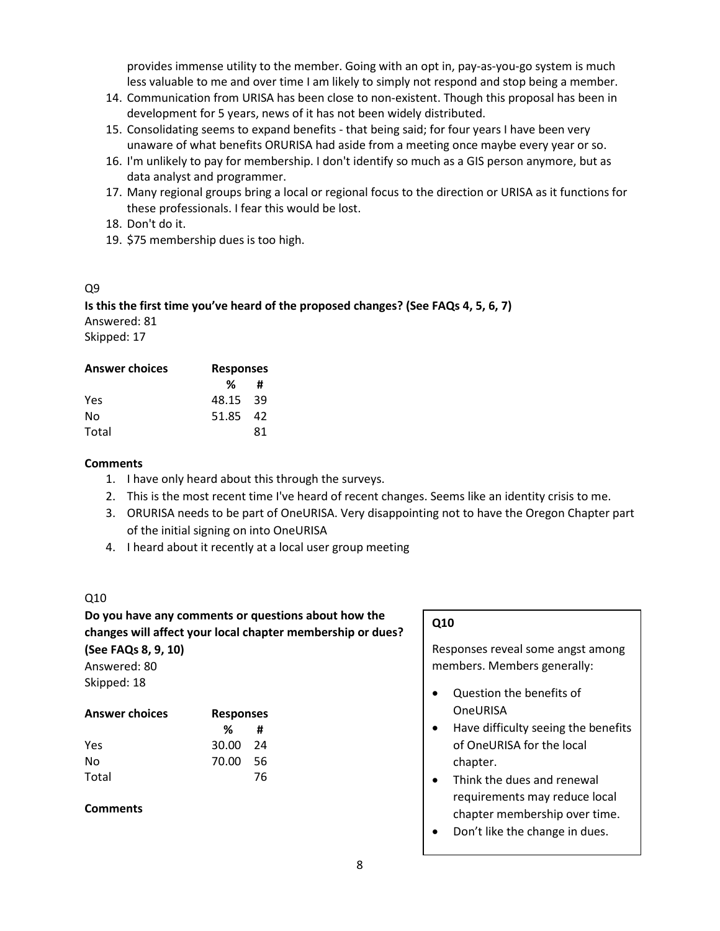provides immense utility to the member. Going with an opt in, pay-as-you-go system is much less valuable to me and over time I am likely to simply not respond and stop being a member.

- 14. Communication from URISA has been close to non-existent. Though this proposal has been in development for 5 years, news of it has not been widely distributed.
- 15. Consolidating seems to expand benefits that being said; for four years I have been very unaware of what benefits ORURISA had aside from a meeting once maybe every year or so.
- 16. I'm unlikely to pay for membership. I don't identify so much as a GIS person anymore, but as data analyst and programmer.
- 17. Many regional groups bring a local or regional focus to the direction or URISA as it functions for these professionals. I fear this would be lost.
- 18. Don't do it.
- 19. \$75 membership dues is too high.

### Q9

**Is this the first time you've heard of the proposed changes? (See FAQs 4, 5, 6, 7)** Answered: 81 Skipped: 17

| <b>Answer choices</b> | <b>Responses</b> |     |
|-----------------------|------------------|-----|
|                       | %                | #   |
| Yes                   | 48.15 39         |     |
| No                    | 51.85            | -42 |
| Total                 |                  | 81  |

### **Comments**

- 1. I have only heard about this through the surveys.
- 2. This is the most recent time I've heard of recent changes. Seems like an identity crisis to me.
- 3. ORURISA needs to be part of OneURISA. Very disappointing not to have the Oregon Chapter part of the initial signing on into OneURISA
- 4. I heard about it recently at a local user group meeting

### Q10

## **Do you have any comments or questions about how the changes will affect your local chapter membership or dues? (See FAQs 8, 9, 10)**

Answered: 80 Skipped: 18

| <b>Answer choices</b> | <b>Responses</b> |      |
|-----------------------|------------------|------|
|                       | %                | #    |
| Yes                   | 30.00 24         |      |
| No                    | 70.00            | - 56 |
| Total                 |                  | 76   |

### **Comments**

# **Q10**

Responses reveal some angst among members. Members generally:

- Question the benefits of **OneURISA**
- Have difficulty seeing the benefits of OneURISA for the local chapter.
- Think the dues and renewal requirements may reduce local chapter membership over time.
- Don't like the change in dues.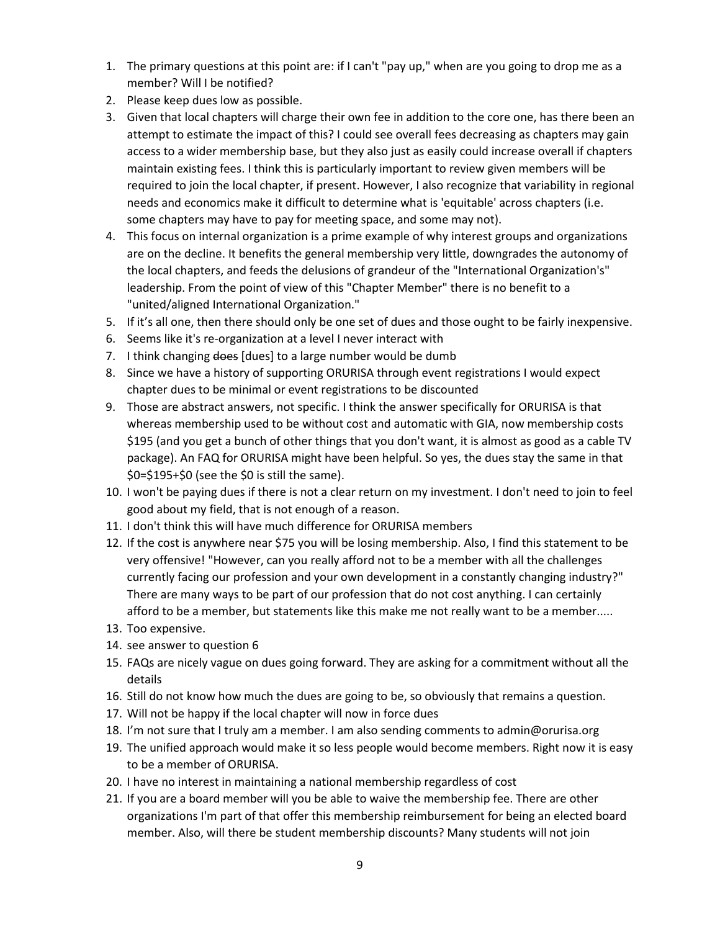- 1. The primary questions at this point are: if I can't "pay up," when are you going to drop me as a member? Will I be notified?
- 2. Please keep dues low as possible.
- 3. Given that local chapters will charge their own fee in addition to the core one, has there been an attempt to estimate the impact of this? I could see overall fees decreasing as chapters may gain access to a wider membership base, but they also just as easily could increase overall if chapters maintain existing fees. I think this is particularly important to review given members will be required to join the local chapter, if present. However, I also recognize that variability in regional needs and economics make it difficult to determine what is 'equitable' across chapters (i.e. some chapters may have to pay for meeting space, and some may not).
- 4. This focus on internal organization is a prime example of why interest groups and organizations are on the decline. It benefits the general membership very little, downgrades the autonomy of the local chapters, and feeds the delusions of grandeur of the "International Organization's" leadership. From the point of view of this "Chapter Member" there is no benefit to a "united/aligned International Organization."
- 5. If it's all one, then there should only be one set of dues and those ought to be fairly inexpensive.
- 6. Seems like it's re-organization at a level I never interact with
- 7. I think changing does [dues] to a large number would be dumb
- 8. Since we have a history of supporting ORURISA through event registrations I would expect chapter dues to be minimal or event registrations to be discounted
- 9. Those are abstract answers, not specific. I think the answer specifically for ORURISA is that whereas membership used to be without cost and automatic with GIA, now membership costs \$195 (and you get a bunch of other things that you don't want, it is almost as good as a cable TV package). An FAQ for ORURISA might have been helpful. So yes, the dues stay the same in that \$0=\$195+\$0 (see the \$0 is still the same).
- 10. I won't be paying dues if there is not a clear return on my investment. I don't need to join to feel good about my field, that is not enough of a reason.
- 11. I don't think this will have much difference for ORURISA members
- 12. If the cost is anywhere near \$75 you will be losing membership. Also, I find this statement to be very offensive! "However, can you really afford not to be a member with all the challenges currently facing our profession and your own development in a constantly changing industry?" There are many ways to be part of our profession that do not cost anything. I can certainly afford to be a member, but statements like this make me not really want to be a member.....
- 13. Too expensive.
- 14. see answer to question 6
- 15. FAQs are nicely vague on dues going forward. They are asking for a commitment without all the details
- 16. Still do not know how much the dues are going to be, so obviously that remains a question.
- 17. Will not be happy if the local chapter will now in force dues
- 18. I'm not sure that I truly am a member. I am also sending comments to admin@orurisa.org
- 19. The unified approach would make it so less people would become members. Right now it is easy to be a member of ORURISA.
- 20. I have no interest in maintaining a national membership regardless of cost
- 21. If you are a board member will you be able to waive the membership fee. There are other organizations I'm part of that offer this membership reimbursement for being an elected board member. Also, will there be student membership discounts? Many students will not join